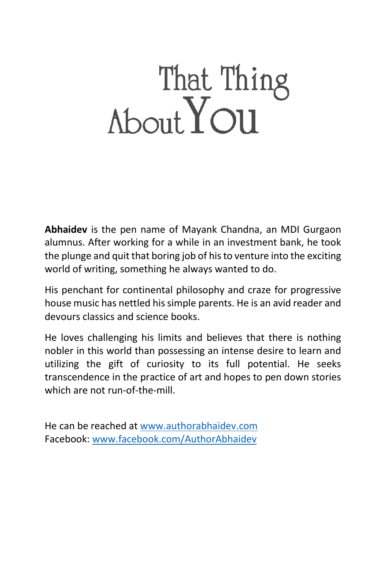## That Thing<br>About YOU

**Abhaidev** is the pen name of Mayank Chandna, an MDI Gurgaon alumnus. After working for a while in an investment bank, he took the plunge and quit that boring job of his to venture into the exciting world of writing, something he always wanted to do.

His penchant for continental philosophy and craze for progressive house music has nettled his simple parents. He is an avid reader and devours classics and science books.

He loves challenging his limits and believes that there is nothing nobler in this world than possessing an intense desire to learn and utilizing the gift of curiosity to its full potential. He seeks transcendence in the practice of art and hopes to pen down stories which are not run-of-the-mill.

He can be reached at [www.authorabhaidev.com](http://www.authorabhaidev.com/) Facebook[: www.facebook.com/AuthorAbhaidev](http://www.facebook.com/AuthorAbhaidev)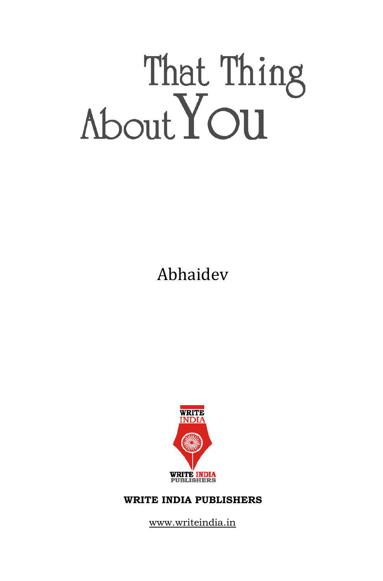# That Thing<br>About You

Abhaidev



#### **WRITE INDIA PUBLISHERS**

www.writeindia.in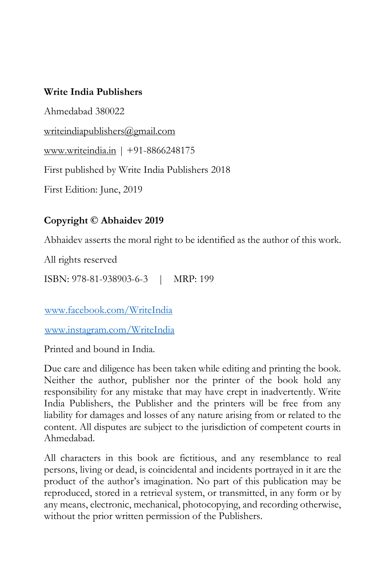#### **Write India Publishers**

Ahmedabad 380022 [writeindiapublishers@gmail.com](mailto:writeindiapublishers@gmail.com) www.writeindia.in | +91-8866248175 First published by Write India Publishers 2018 First Edition: June, 2019

#### **Copyright © Abhaidev 2019**

Abhaidev asserts the moral right to be identified as the author of this work.

All rights reserved

ISBN: 978-81-938903-6-3 | MRP: 199

[www.facebook.com/WriteIndia](http://www.facebook.com/WriteIndia)

[www.instagram.com/WriteIndia](http://www.instagram.com/WriteIndia)

Printed and bound in India.

Due care and diligence has been taken while editing and printing the book. Neither the author, publisher nor the printer of the book hold any responsibility for any mistake that may have crept in inadvertently. Write India Publishers, the Publisher and the printers will be free from any liability for damages and losses of any nature arising from or related to the content. All disputes are subject to the jurisdiction of competent courts in Ahmedabad.

All characters in this book are fictitious, and any resemblance to real persons, living or dead, is coincidental and incidents portrayed in it are the product of the author's imagination. No part of this publication may be reproduced, stored in a retrieval system, or transmitted, in any form or by any means, electronic, mechanical, photocopying, and recording otherwise, without the prior written permission of the Publishers.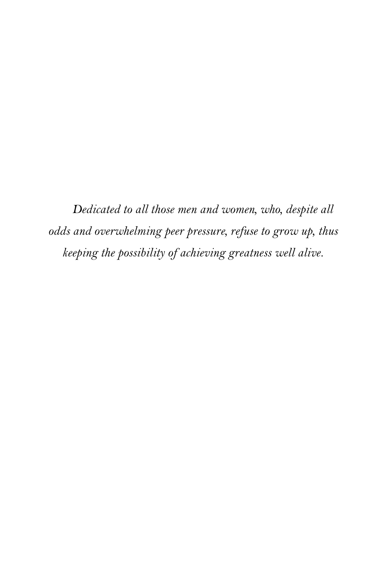*Dedicated to all those men and women, who, despite all odds and overwhelming peer pressure, refuse to grow up, thus keeping the possibility of achieving greatness well alive.*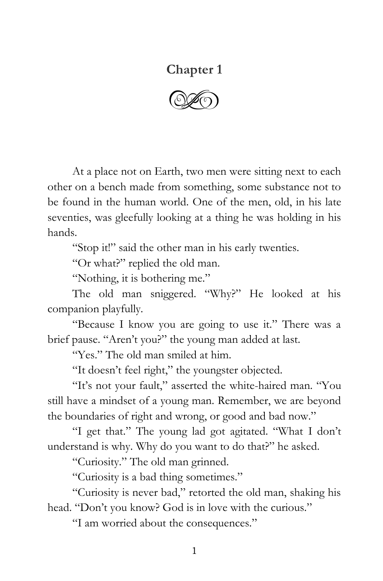#### **Chapter 1**

 $\circled{C}$ 

At a place not on Earth, two men were sitting next to each other on a bench made from something, some substance not to be found in the human world. One of the men, old, in his late seventies, was gleefully looking at a thing he was holding in his hands.

"Stop it!" said the other man in his early twenties.

"Or what?" replied the old man.

"Nothing, it is bothering me."

The old man sniggered. "Why?" He looked at his companion playfully.

"Because I know you are going to use it." There was a brief pause. "Aren't you?" the young man added at last.

"Yes." The old man smiled at him.

"It doesn't feel right," the youngster objected.

"It's not your fault," asserted the white-haired man. "You still have a mindset of a young man. Remember, we are beyond the boundaries of right and wrong, or good and bad now."

"I get that." The young lad got agitated. "What I don't understand is why. Why do you want to do that?" he asked.

"Curiosity." The old man grinned.

"Curiosity is a bad thing sometimes."

"Curiosity is never bad," retorted the old man, shaking his head. "Don't you know? God is in love with the curious."

"I am worried about the consequences."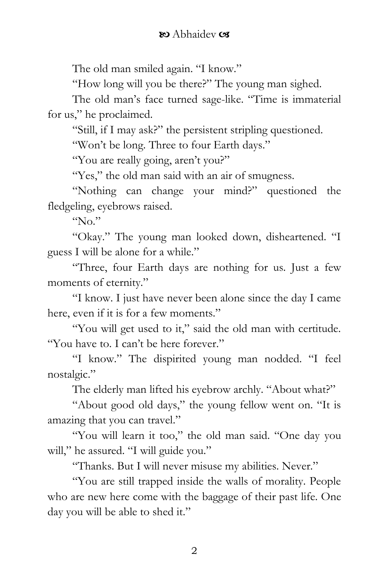The old man smiled again. "I know."

"How long will you be there?" The young man sighed.

The old man's face turned sage-like. "Time is immaterial for us," he proclaimed.

"Still, if I may ask?" the persistent stripling questioned.

"Won't be long. Three to four Earth days."

"You are really going, aren't you?"

"Yes," the old man said with an air of smugness.

"Nothing can change your mind?" questioned the fledgeling, eyebrows raised.

" $N_0$ "

"Okay." The young man looked down, disheartened. "I guess I will be alone for a while."

"Three, four Earth days are nothing for us. Just a few moments of eternity."

"I know. I just have never been alone since the day I came here, even if it is for a few moments."

"You will get used to it," said the old man with certitude. "You have to. I can't be here forever."

"I know." The dispirited young man nodded. "I feel nostalgic."

The elderly man lifted his eyebrow archly. "About what?"

"About good old days," the young fellow went on. "It is amazing that you can travel."

"You will learn it too," the old man said. "One day you will," he assured. "I will guide you."

"Thanks. But I will never misuse my abilities. Never."

"You are still trapped inside the walls of morality. People who are new here come with the baggage of their past life. One day you will be able to shed it."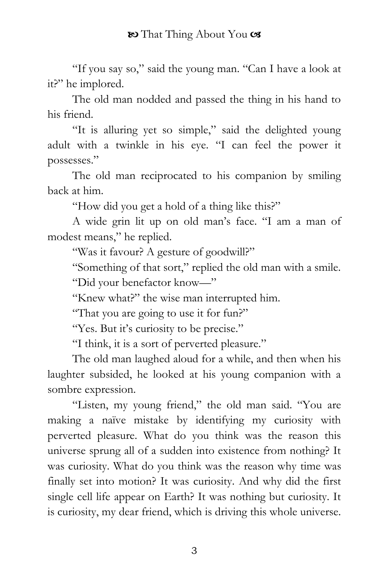"If you say so," said the young man. "Can I have a look at it?" he implored.

The old man nodded and passed the thing in his hand to his friend.

"It is alluring yet so simple," said the delighted young adult with a twinkle in his eye. "I can feel the power it possesses."

The old man reciprocated to his companion by smiling back at him.

"How did you get a hold of a thing like this?"

A wide grin lit up on old man's face. "I am a man of modest means," he replied.

"Was it favour? A gesture of goodwill?"

"Something of that sort," replied the old man with a smile.

"Did your benefactor know—"

"Knew what?" the wise man interrupted him.

"That you are going to use it for fun?"

"Yes. But it's curiosity to be precise."

"I think, it is a sort of perverted pleasure."

The old man laughed aloud for a while, and then when his laughter subsided, he looked at his young companion with a sombre expression.

"Listen, my young friend," the old man said. "You are making a naïve mistake by identifying my curiosity with perverted pleasure. What do you think was the reason this universe sprung all of a sudden into existence from nothing? It was curiosity. What do you think was the reason why time was finally set into motion? It was curiosity. And why did the first single cell life appear on Earth? It was nothing but curiosity. It is curiosity, my dear friend, which is driving this whole universe.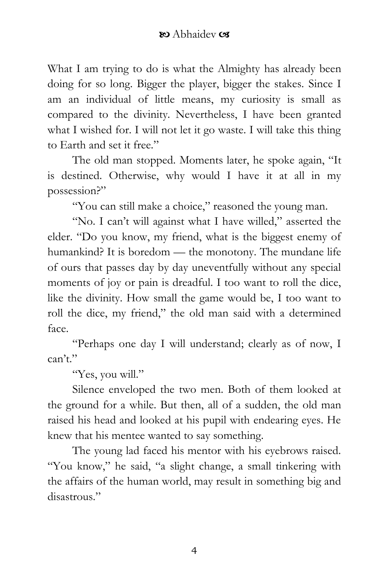What I am trying to do is what the Almighty has already been doing for so long. Bigger the player, bigger the stakes. Since I am an individual of little means, my curiosity is small as compared to the divinity. Nevertheless, I have been granted what I wished for. I will not let it go waste. I will take this thing to Earth and set it free."

The old man stopped. Moments later, he spoke again, "It is destined. Otherwise, why would I have it at all in my possession?"

"You can still make a choice," reasoned the young man.

"No. I can't will against what I have willed," asserted the elder. "Do you know, my friend, what is the biggest enemy of humankind? It is boredom — the monotony. The mundane life of ours that passes day by day uneventfully without any special moments of joy or pain is dreadful. I too want to roll the dice, like the divinity. How small the game would be, I too want to roll the dice, my friend," the old man said with a determined face.

"Perhaps one day I will understand; clearly as of now, I can't."

"Yes, you will."

Silence enveloped the two men. Both of them looked at the ground for a while. But then, all of a sudden, the old man raised his head and looked at his pupil with endearing eyes. He knew that his mentee wanted to say something.

The young lad faced his mentor with his eyebrows raised. "You know," he said, "a slight change, a small tinkering with the affairs of the human world, may result in something big and disastrous."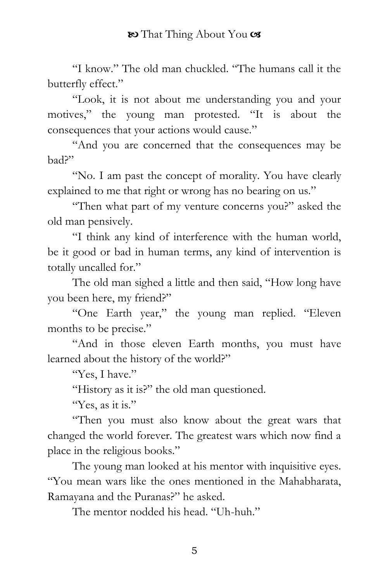"I know." The old man chuckled. "The humans call it the butterfly effect."

"Look, it is not about me understanding you and your motives," the young man protested. "It is about the consequences that your actions would cause."

"And you are concerned that the consequences may be bad?"

"No. I am past the concept of morality. You have clearly explained to me that right or wrong has no bearing on us."

"Then what part of my venture concerns you?" asked the old man pensively.

"I think any kind of interference with the human world, be it good or bad in human terms, any kind of intervention is totally uncalled for."

The old man sighed a little and then said, "How long have you been here, my friend?"

"One Earth year," the young man replied. "Eleven months to be precise."

"And in those eleven Earth months, you must have learned about the history of the world?"

"Yes, I have."

"History as it is?" the old man questioned.

"Yes, as it is."

"Then you must also know about the great wars that changed the world forever. The greatest wars which now find a place in the religious books."

The young man looked at his mentor with inquisitive eyes. "You mean wars like the ones mentioned in the Mahabharata, Ramayana and the Puranas?" he asked.

The mentor nodded his head. "Uh-huh."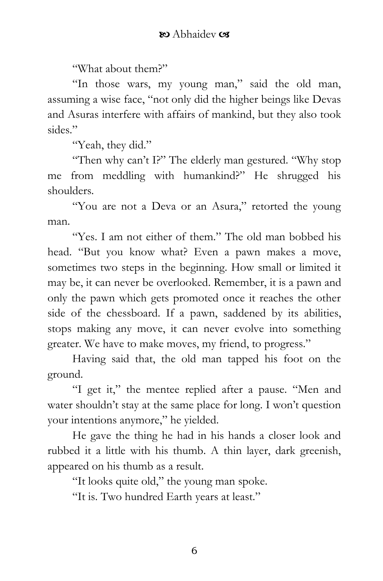"What about them?"

"In those wars, my young man," said the old man, assuming a wise face, "not only did the higher beings like Devas and Asuras interfere with affairs of mankind, but they also took sides"

"Yeah, they did."

"Then why can't I?" The elderly man gestured. "Why stop me from meddling with humankind?" He shrugged his shoulders.

"You are not a Deva or an Asura," retorted the young man.

"Yes. I am not either of them." The old man bobbed his head. "But you know what? Even a pawn makes a move, sometimes two steps in the beginning. How small or limited it may be, it can never be overlooked. Remember, it is a pawn and only the pawn which gets promoted once it reaches the other side of the chessboard. If a pawn, saddened by its abilities, stops making any move, it can never evolve into something greater. We have to make moves, my friend, to progress."

Having said that, the old man tapped his foot on the ground.

"I get it," the mentee replied after a pause. "Men and water shouldn't stay at the same place for long. I won't question your intentions anymore," he yielded.

He gave the thing he had in his hands a closer look and rubbed it a little with his thumb. A thin layer, dark greenish, appeared on his thumb as a result.

"It looks quite old," the young man spoke.

"It is. Two hundred Earth years at least."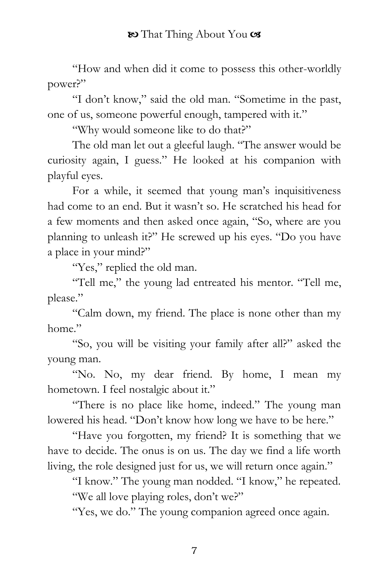"How and when did it come to possess this other-worldly power?"

"I don't know," said the old man. "Sometime in the past, one of us, someone powerful enough, tampered with it."

"Why would someone like to do that?"

The old man let out a gleeful laugh. "The answer would be curiosity again, I guess." He looked at his companion with playful eyes.

For a while, it seemed that young man's inquisitiveness had come to an end. But it wasn't so. He scratched his head for a few moments and then asked once again, "So, where are you planning to unleash it?" He screwed up his eyes. "Do you have a place in your mind?"

"Yes," replied the old man.

"Tell me," the young lad entreated his mentor. "Tell me, please."

"Calm down, my friend. The place is none other than my home"

"So, you will be visiting your family after all?" asked the young man.

"No. No, my dear friend. By home, I mean my hometown. I feel nostalgic about it."

"There is no place like home, indeed." The young man lowered his head. "Don't know how long we have to be here."

"Have you forgotten, my friend? It is something that we have to decide. The onus is on us. The day we find a life worth living, the role designed just for us, we will return once again."

"I know." The young man nodded. "I know," he repeated. "We all love playing roles, don't we?"

"Yes, we do." The young companion agreed once again.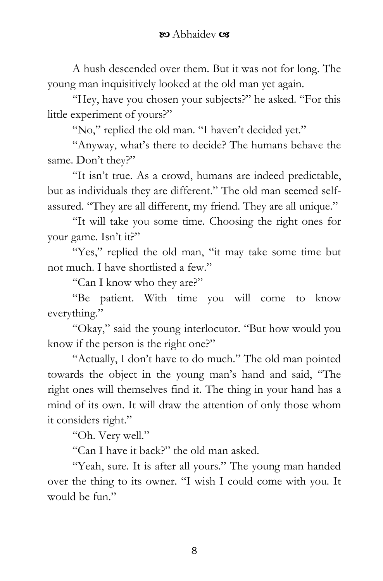A hush descended over them. But it was not for long. The young man inquisitively looked at the old man yet again.

"Hey, have you chosen your subjects?" he asked. "For this little experiment of yours?"

"No," replied the old man. "I haven't decided yet."

"Anyway, what's there to decide? The humans behave the same. Don't they?"

"It isn't true. As a crowd, humans are indeed predictable, but as individuals they are different." The old man seemed selfassured. "They are all different, my friend. They are all unique."

"It will take you some time. Choosing the right ones for your game. Isn't it?"

"Yes," replied the old man, "it may take some time but not much. I have shortlisted a few."

"Can I know who they are?"

"Be patient. With time you will come to know everything."

"Okay," said the young interlocutor. "But how would you know if the person is the right one?"

"Actually, I don't have to do much." The old man pointed towards the object in the young man's hand and said, "The right ones will themselves find it. The thing in your hand has a mind of its own. It will draw the attention of only those whom it considers right."

"Oh. Very well."

"Can I have it back?" the old man asked.

"Yeah, sure. It is after all yours." The young man handed over the thing to its owner. "I wish I could come with you. It would be fun."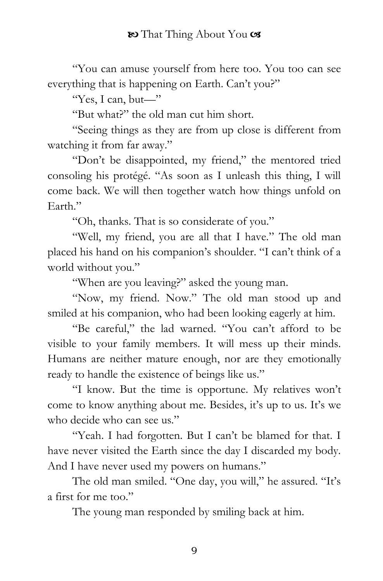"You can amuse yourself from here too. You too can see everything that is happening on Earth. Can't you?"

"Yes, I can, but—"

"But what?" the old man cut him short.

"Seeing things as they are from up close is different from watching it from far away."

"Don't be disappointed, my friend," the mentored tried consoling his protégé. "As soon as I unleash this thing, I will come back. We will then together watch how things unfold on Earth."

"Oh, thanks. That is so considerate of you."

"Well, my friend, you are all that I have." The old man placed his hand on his companion's shoulder. "I can't think of a world without you."

"When are you leaving?" asked the young man.

"Now, my friend. Now." The old man stood up and smiled at his companion, who had been looking eagerly at him.

"Be careful," the lad warned. "You can't afford to be visible to your family members. It will mess up their minds. Humans are neither mature enough, nor are they emotionally ready to handle the existence of beings like us."

"I know. But the time is opportune. My relatives won't come to know anything about me. Besides, it's up to us. It's we who decide who can see us."

"Yeah. I had forgotten. But I can't be blamed for that. I have never visited the Earth since the day I discarded my body. And I have never used my powers on humans."

The old man smiled. "One day, you will," he assured. "It's a first for me too."

The young man responded by smiling back at him.